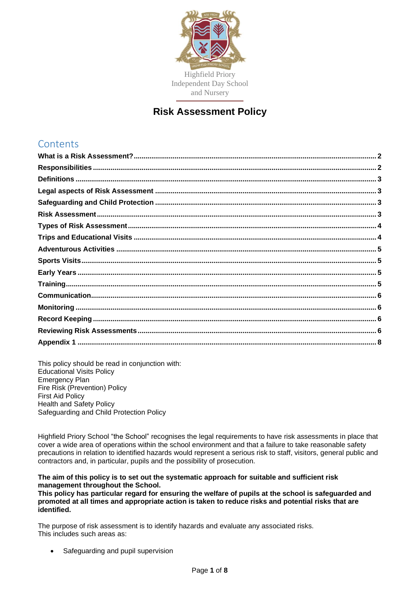

# **Risk Assessment Policy**

# **Contents**

This policy should be read in conjunction with: Educational Visits Policy Emergency Plan Fire Risk (Prevention) Policy First Aid Policy Health and Safety Policy Safeguarding and Child Protection Policy

Highfield Priory School "the School" recognises the legal requirements to have risk assessments in place that cover a wide area of operations within the school environment and that a failure to take reasonable safety precautions in relation to identified hazards would represent a serious risk to staff, visitors, general public and contractors and, in particular, pupils and the possibility of prosecution.

#### **The aim of this policy is to set out the systematic approach for suitable and sufficient risk management throughout the School.**

**This policy has particular regard for ensuring the welfare of pupils at the school is safeguarded and promoted at all times and appropriate action is taken to reduce risks and potential risks that are identified.**

The purpose of risk assessment is to identify hazards and evaluate any associated risks. This includes such areas as:

Safeguarding and pupil supervision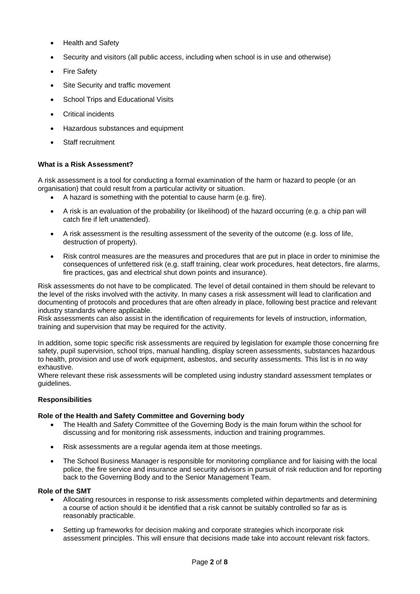- Health and Safety
- Security and visitors (all public access, including when school is in use and otherwise)
- **Fire Safety**
- Site Security and traffic movement
- School Trips and Educational Visits
- Critical incidents
- Hazardous substances and equipment
- Staff recruitment

## <span id="page-1-0"></span>**What is a Risk Assessment?**

A risk assessment is a tool for conducting a formal examination of the harm or hazard to people (or an organisation) that could result from a particular activity or situation.

- A hazard is something with the potential to cause harm (e.g. fire).
- A risk is an evaluation of the probability (or likelihood) of the hazard occurring (e.g. a chip pan will catch fire if left unattended).
- A risk assessment is the resulting assessment of the severity of the outcome (e.g. loss of life, destruction of property).
- Risk control measures are the measures and procedures that are put in place in order to minimise the consequences of unfettered risk (e.g. staff training, clear work procedures, heat detectors, fire alarms, fire practices, gas and electrical shut down points and insurance).

Risk assessments do not have to be complicated. The level of detail contained in them should be relevant to the level of the risks involved with the activity. In many cases a risk assessment will lead to clarification and documenting of protocols and procedures that are often already in place, following best practice and relevant industry standards where applicable.

Risk assessments can also assist in the identification of requirements for levels of instruction, information, training and supervision that may be required for the activity.

In addition, some topic specific risk assessments are required by legislation for example those concerning fire safety, pupil supervision, school trips, manual handling, display screen assessments, substances hazardous to health, provision and use of work equipment, asbestos, and security assessments. This list is in no way exhaustive.

Where relevant these risk assessments will be completed using industry standard assessment templates or guidelines.

## <span id="page-1-1"></span>**Responsibilities**

#### **Role of the Health and Safety Committee and Governing body**

- The Health and Safety Committee of the Governing Body is the main forum within the school for discussing and for monitoring risk assessments, induction and training programmes.
- Risk assessments are a regular agenda item at those meetings.
- The School Business Manager is responsible for monitoring compliance and for liaising with the local police, the fire service and insurance and security advisors in pursuit of risk reduction and for reporting back to the Governing Body and to the Senior Management Team.

#### **Role of the SMT**

- Allocating resources in response to risk assessments completed within departments and determining a course of action should it be identified that a risk cannot be suitably controlled so far as is reasonably practicable.
- Setting up frameworks for decision making and corporate strategies which incorporate risk assessment principles. This will ensure that decisions made take into account relevant risk factors.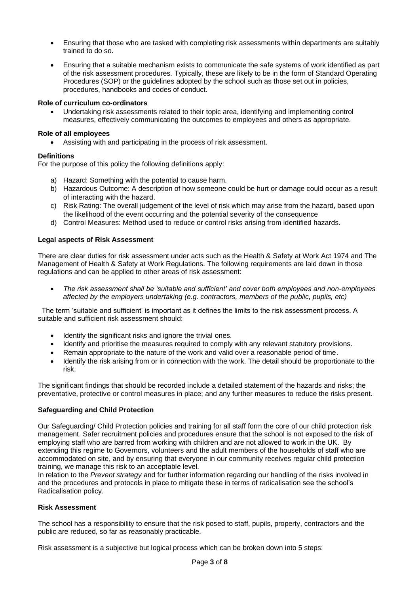- Ensuring that those who are tasked with completing risk assessments within departments are suitably trained to do so.
- Ensuring that a suitable mechanism exists to communicate the safe systems of work identified as part of the risk assessment procedures. Typically, these are likely to be in the form of Standard Operating Procedures (SOP) or the guidelines adopted by the school such as those set out in policies, procedures, handbooks and codes of conduct.

## **Role of curriculum co-ordinators**

• Undertaking risk assessments related to their topic area, identifying and implementing control measures, effectively communicating the outcomes to employees and others as appropriate.

## **Role of all employees**

• Assisting with and participating in the process of risk assessment.

## <span id="page-2-0"></span>**Definitions**

For the purpose of this policy the following definitions apply:

- a) Hazard: Something with the potential to cause harm.
- b) Hazardous Outcome: A description of how someone could be hurt or damage could occur as a result of interacting with the hazard.
- c) Risk Rating: The overall judgement of the level of risk which may arise from the hazard, based upon the likelihood of the event occurring and the potential severity of the consequence
- d) Control Measures: Method used to reduce or control risks arising from identified hazards.

## <span id="page-2-1"></span>**Legal aspects of Risk Assessment**

There are clear duties for risk assessment under acts such as the Health & Safety at Work Act 1974 and The Management of Health & Safety at Work Regulations. The following requirements are laid down in those regulations and can be applied to other areas of risk assessment:

• *The risk assessment shall be 'suitable and sufficient' and cover both employees and non-employees affected by the employers undertaking (e.g. contractors, members of the public, pupils, etc)*

The term 'suitable and sufficient' is important as it defines the limits to the risk assessment process. A suitable and sufficient risk assessment should:

- Identify the significant risks and ignore the trivial ones.
- Identify and prioritise the measures required to comply with any relevant statutory provisions.
- Remain appropriate to the nature of the work and valid over a reasonable period of time.
- Identify the risk arising from or in connection with the work. The detail should be proportionate to the risk.

The significant findings that should be recorded include a detailed statement of the hazards and risks; the preventative, protective or control measures in place; and any further measures to reduce the risks present.

## <span id="page-2-2"></span>**Safeguarding and Child Protection**

Our Safeguarding/ Child Protection policies and training for all staff form the core of our child protection risk management. Safer recruitment policies and procedures ensure that the school is not exposed to the risk of employing staff who are barred from working with children and are not allowed to work in the UK. By extending this regime to Governors, volunteers and the adult members of the households of staff who are accommodated on site, and by ensuring that everyone in our community receives regular child protection training, we manage this risk to an acceptable level.

In relation to the *Prevent strategy* and for further information regarding our handling of the risks involved in and the procedures and protocols in place to mitigate these in terms of radicalisation see the school's Radicalisation policy.

## <span id="page-2-3"></span>**Risk Assessment**

The school has a responsibility to ensure that the risk posed to staff, pupils, property, contractors and the public are reduced, so far as reasonably practicable.

Risk assessment is a subjective but logical process which can be broken down into 5 steps: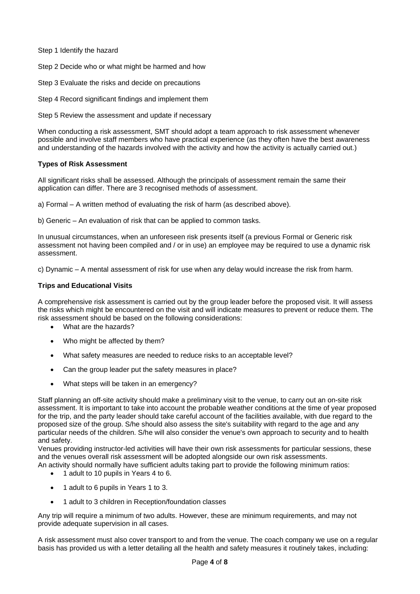Step 1 Identify the hazard

Step 2 Decide who or what might be harmed and how

Step 3 Evaluate the risks and decide on precautions

Step 4 Record significant findings and implement them

Step 5 Review the assessment and update if necessary

When conducting a risk assessment, SMT should adopt a team approach to risk assessment whenever possible and involve staff members who have practical experience (as they often have the best awareness and understanding of the hazards involved with the activity and how the activity is actually carried out.)

#### <span id="page-3-0"></span>**Types of Risk Assessment**

All significant risks shall be assessed. Although the principals of assessment remain the same their application can differ. There are 3 recognised methods of assessment.

a) Formal – A written method of evaluating the risk of harm (as described above).

b) Generic – An evaluation of risk that can be applied to common tasks.

In unusual circumstances, when an unforeseen risk presents itself (a previous Formal or Generic risk assessment not having been compiled and / or in use) an employee may be required to use a dynamic risk assessment.

c) Dynamic – A mental assessment of risk for use when any delay would increase the risk from harm.

#### <span id="page-3-1"></span>**Trips and Educational Visits**

A comprehensive risk assessment is carried out by the group leader before the proposed visit. It will assess the risks which might be encountered on the visit and will indicate measures to prevent or reduce them. The risk assessment should be based on the following considerations:

- What are the hazards?
- Who might be affected by them?
- What safety measures are needed to reduce risks to an acceptable level?
- Can the group leader put the safety measures in place?
- What steps will be taken in an emergency?

Staff planning an off-site activity should make a preliminary visit to the venue, to carry out an on-site risk assessment. It is important to take into account the probable weather conditions at the time of year proposed for the trip, and the party leader should take careful account of the facilities available, with due regard to the proposed size of the group. S/he should also assess the site's suitability with regard to the age and any particular needs of the children. S/he will also consider the venue's own approach to security and to health and safety.

Venues providing instructor-led activities will have their own risk assessments for particular sessions, these and the venues overall risk assessment will be adopted alongside our own risk assessments. An activity should normally have sufficient adults taking part to provide the following minimum ratios:

- 1 adult to 10 pupils in Years 4 to 6.
- 1 adult to 6 pupils in Years 1 to 3.
- 1 adult to 3 children in Reception/foundation classes

Any trip will require a minimum of two adults. However, these are minimum requirements, and may not provide adequate supervision in all cases.

A risk assessment must also cover transport to and from the venue. The coach company we use on a regular basis has provided us with a letter detailing all the health and safety measures it routinely takes, including: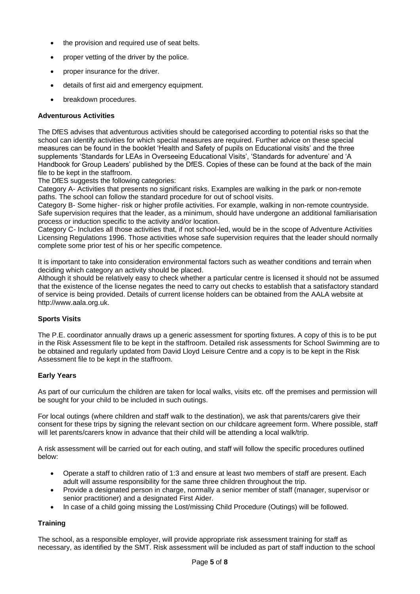- the provision and required use of seat belts.
- proper vetting of the driver by the police.
- proper insurance for the driver.
- details of first aid and emergency equipment.
- breakdown procedures.

## <span id="page-4-0"></span>**Adventurous Activities**

The DfES advises that adventurous activities should be categorised according to potential risks so that the school can identify activities for which special measures are required. Further advice on these special measures can be found in the booklet 'Health and Safety of pupils on Educational visits' and the three supplements 'Standards for LEAs in Overseeing Educational Visits', 'Standards for adventure' and 'A Handbook for Group Leaders' published by the DfES. Copies of these can be found at the back of the main file to be kept in the staffroom.

The DfES suggests the following categories:

Category A- Activities that presents no significant risks. Examples are walking in the park or non-remote paths. The school can follow the standard procedure for out of school visits.

Category B- Some higher- risk or higher profile activities. For example, walking in non-remote countryside. Safe supervision requires that the leader, as a minimum, should have undergone an additional familiarisation process or induction specific to the activity and/or location.

Category C- Includes all those activities that, if not school-led, would be in the scope of Adventure Activities Licensing Regulations 1996. Those activities whose safe supervision requires that the leader should normally complete some prior test of his or her specific competence.

It is important to take into consideration environmental factors such as weather conditions and terrain when deciding which category an activity should be placed.

Although it should be relatively easy to check whether a particular centre is licensed it should not be assumed that the existence of the license negates the need to carry out checks to establish that a satisfactory standard of service is being provided. Details of current license holders can be obtained from the AALA website at http://www.aala.org.uk.

## <span id="page-4-1"></span>**Sports Visits**

The P.E. coordinator annually draws up a generic assessment for sporting fixtures. A copy of this is to be put in the Risk Assessment file to be kept in the staffroom. Detailed risk assessments for School Swimming are to be obtained and regularly updated from David Lloyd Leisure Centre and a copy is to be kept in the Risk Assessment file to be kept in the staffroom.

## <span id="page-4-2"></span>**Early Years**

As part of our curriculum the children are taken for local walks, visits etc. off the premises and permission will be sought for your child to be included in such outings.

For local outings (where children and staff walk to the destination), we ask that parents/carers give their consent for these trips by signing the relevant section on our childcare agreement form. Where possible, staff will let parents/carers know in advance that their child will be attending a local walk/trip.

A risk assessment will be carried out for each outing, and staff will follow the specific procedures outlined below:

- Operate a staff to children ratio of 1:3 and ensure at least two members of staff are present. Each adult will assume responsibility for the same three children throughout the trip.
- Provide a designated person in charge, normally a senior member of staff (manager, supervisor or senior practitioner) and a designated First Aider.
- In case of a child going missing the Lost/missing Child Procedure (Outings) will be followed.

# <span id="page-4-3"></span>**Training**

The school, as a responsible employer, will provide appropriate risk assessment training for staff as necessary, as identified by the SMT. Risk assessment will be included as part of staff induction to the school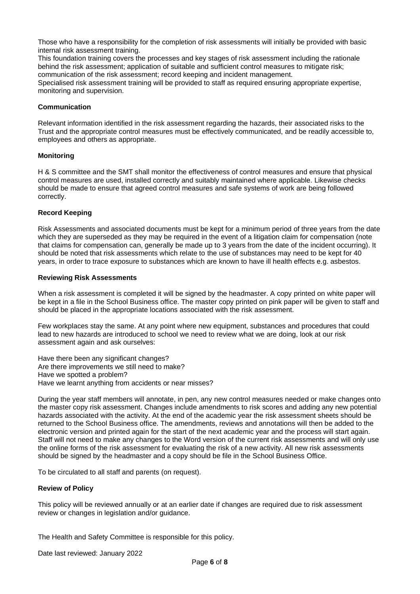Those who have a responsibility for the completion of risk assessments will initially be provided with basic internal risk assessment training.

This foundation training covers the processes and key stages of risk assessment including the rationale behind the risk assessment; application of suitable and sufficient control measures to mitigate risk; communication of the risk assessment; record keeping and incident management. Specialised risk assessment training will be provided to staff as required ensuring appropriate expertise, monitoring and supervision.

#### <span id="page-5-0"></span>**Communication**

Relevant information identified in the risk assessment regarding the hazards, their associated risks to the Trust and the appropriate control measures must be effectively communicated, and be readily accessible to, employees and others as appropriate.

#### <span id="page-5-1"></span>**Monitoring**

H & S committee and the SMT shall monitor the effectiveness of control measures and ensure that physical control measures are used, installed correctly and suitably maintained where applicable. Likewise checks should be made to ensure that agreed control measures and safe systems of work are being followed correctly.

#### <span id="page-5-2"></span>**Record Keeping**

Risk Assessments and associated documents must be kept for a minimum period of three years from the date which they are superseded as they may be required in the event of a litigation claim for compensation (note that claims for compensation can, generally be made up to 3 years from the date of the incident occurring). It should be noted that risk assessments which relate to the use of substances may need to be kept for 40 years, in order to trace exposure to substances which are known to have ill health effects e.g. asbestos.

#### <span id="page-5-3"></span>**Reviewing Risk Assessments**

When a risk assessment is completed it will be signed by the headmaster. A copy printed on white paper will be kept in a file in the School Business office. The master copy printed on pink paper will be given to staff and should be placed in the appropriate locations associated with the risk assessment.

Few workplaces stay the same. At any point where new equipment, substances and procedures that could lead to new hazards are introduced to school we need to review what we are doing, look at our risk assessment again and ask ourselves:

Have there been any significant changes? Are there improvements we still need to make? Have we spotted a problem? Have we learnt anything from accidents or near misses?

During the year staff members will annotate, in pen, any new control measures needed or make changes onto the master copy risk assessment. Changes include amendments to risk scores and adding any new potential hazards associated with the activity. At the end of the academic year the risk assessment sheets should be returned to the School Business office. The amendments, reviews and annotations will then be added to the electronic version and printed again for the start of the next academic year and the process will start again. Staff will not need to make any changes to the Word version of the current risk assessments and will only use the online forms of the risk assessment for evaluating the risk of a new activity. All new risk assessments should be signed by the headmaster and a copy should be file in the School Business Office.

To be circulated to all staff and parents (on request).

#### **Review of Policy**

This policy will be reviewed annually or at an earlier date if changes are required due to risk assessment review or changes in legislation and/or guidance.

The Health and Safety Committee is responsible for this policy.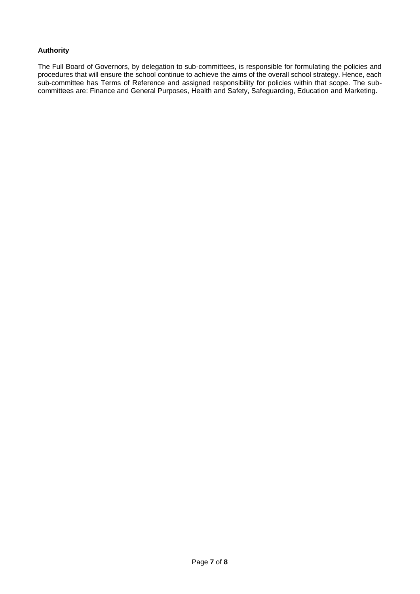# **Authority**

The Full Board of Governors, by delegation to sub-committees, is responsible for formulating the policies and procedures that will ensure the school continue to achieve the aims of the overall school strategy. Hence, each sub-committee has Terms of Reference and assigned responsibility for policies within that scope. The subcommittees are: Finance and General Purposes, Health and Safety, Safeguarding, Education and Marketing.